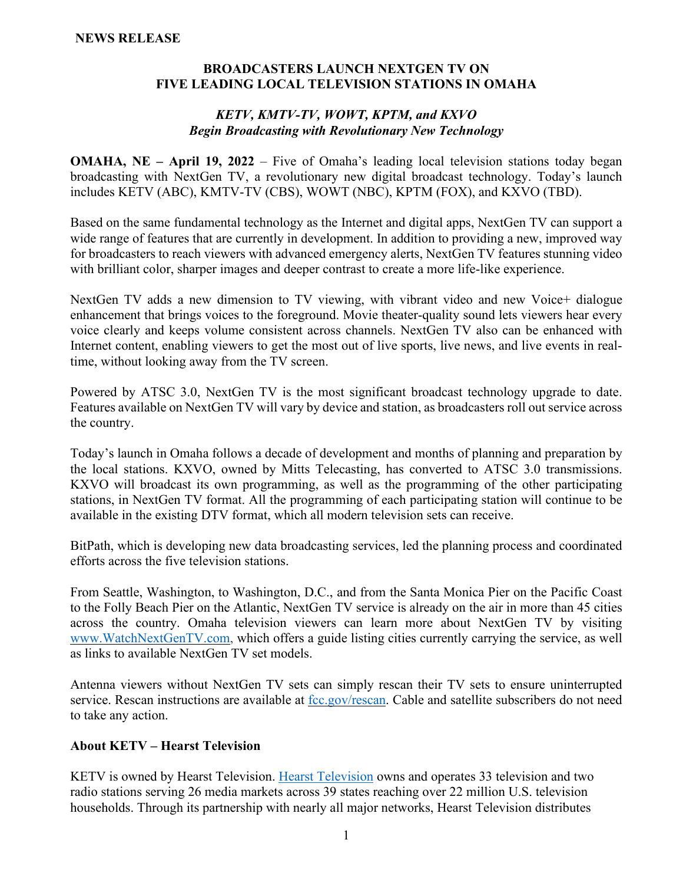#### **BROADCASTERS LAUNCH NEXTGEN TV ON FIVE LEADING LOCAL TELEVISION STATIONS IN OMAHA**

#### *KETV, KMTV-TV, WOWT, KPTM, and KXVO Begin Broadcasting with Revolutionary New Technology*

**OMAHA, NE – April 19, 2022** – Five of Omaha's leading local television stations today began broadcasting with NextGen TV, a revolutionary new digital broadcast technology. Today's launch includes KETV (ABC), KMTV-TV (CBS), WOWT (NBC), KPTM (FOX), and KXVO (TBD).

Based on the same fundamental technology as the Internet and digital apps, NextGen TV can support a wide range of features that are currently in development. In addition to providing a new, improved way for broadcasters to reach viewers with advanced emergency alerts, NextGen TV features stunning video with brilliant color, sharper images and deeper contrast to create a more life-like experience.

NextGen TV adds a new dimension to TV viewing, with vibrant video and new Voice+ dialogue enhancement that brings voices to the foreground. Movie theater-quality sound lets viewers hear every voice clearly and keeps volume consistent across channels. NextGen TV also can be enhanced with Internet content, enabling viewers to get the most out of live sports, live news, and live events in realtime, without looking away from the TV screen.

Powered by ATSC 3.0, NextGen TV is the most significant broadcast technology upgrade to date. Features available on NextGen TV will vary by device and station, as broadcasters roll out service across the country.

Today's launch in Omaha follows a decade of development and months of planning and preparation by the local stations. KXVO, owned by Mitts Telecasting, has converted to ATSC 3.0 transmissions. KXVO will broadcast its own programming, as well as the programming of the other participating stations, in NextGen TV format. All the programming of each participating station will continue to be available in the existing DTV format, which all modern television sets can receive.

BitPath, which is developing new data broadcasting services, led the planning process and coordinated efforts across the five television stations.

From Seattle, Washington, to Washington, D.C., and from the Santa Monica Pier on the Pacific Coast to the Folly Beach Pier on the Atlantic, NextGen TV service is already on the air in more than 45 cities across the country. Omaha television viewers can learn more about NextGen TV by visiting [www.WatchNextGenTV.com,](https://www.watchnextgentv.com/) which offers a guide listing cities currently carrying the service, as well as links to available NextGen TV set models.

Antenna viewers without NextGen TV sets can simply rescan their TV sets to ensure uninterrupted service. Rescan instructions are available at [fcc.gov/rescan.](http://fcc.gov/rescan) Cable and satellite subscribers do not need to take any action.

# **About KETV – Hearst Television**

KETV is owned by Hearst Television. [Hearst Television](http://www.hearst.com/broadcasting) owns and operates 33 television and two radio stations serving 26 media markets across 39 states reaching over 22 million U.S. television households. Through its partnership with nearly all major networks, Hearst Television distributes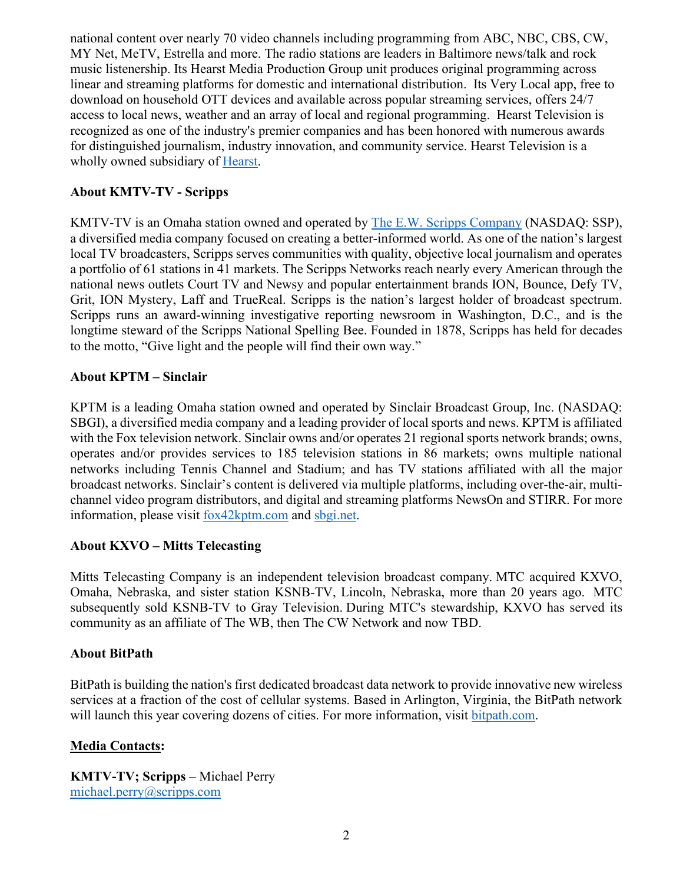national content over nearly 70 video channels including programming from ABC, NBC, CBS, CW, MY Net, MeTV, Estrella and more. The radio stations are leaders in Baltimore news/talk and rock music listenership. Its Hearst Media Production Group unit produces original programming across linear and streaming platforms for domestic and international distribution. Its Very Local app, free to download on household OTT devices and available across popular streaming services, offers 24/7 access to local news, weather and an array of local and regional programming. Hearst Television is recognized as one of the industry's premier companies and has been honored with numerous awards for distinguished journalism, industry innovation, and community service. Hearst Television is a wholly owned subsidiary of [Hearst.](http://www.hearst.com/)

# **About KMTV-TV - Scripps**

KMTV-TV is an Omaha station owned and operated by [The E.W. Scripps Company](http://scripps.com/) (NASDAQ: SSP), a diversified media company focused on creating a better-informed world. As one of the nation's largest local TV broadcasters, Scripps serves communities with quality, objective local journalism and operates a portfolio of 61 stations in 41 markets. The Scripps Networks reach nearly every American through the national news outlets Court TV and Newsy and popular entertainment brands ION, Bounce, Defy TV, Grit, ION Mystery, Laff and TrueReal. Scripps is the nation's largest holder of broadcast spectrum. Scripps runs an award-winning investigative reporting newsroom in Washington, D.C., and is the longtime steward of the Scripps National Spelling Bee. Founded in 1878, Scripps has held for decades to the motto, "Give light and the people will find their own way."

# **About KPTM – Sinclair**

KPTM is a leading Omaha station owned and operated by Sinclair Broadcast Group, Inc. (NASDAQ: SBGI), a diversified media company and a leading provider of local sports and news. KPTM is affiliated with the Fox television network. Sinclair owns and/or operates 21 regional sports network brands; owns, operates and/or provides services to 185 television stations in 86 markets; owns multiple national networks including Tennis Channel and Stadium; and has TV stations affiliated with all the major broadcast networks. Sinclair's content is delivered via multiple platforms, including over-the-air, multichannel video program distributors, and digital and streaming platforms NewsOn and STIRR. For more information, please visit [fox42kptm.com](https://fox42kptm.com/) and [sbgi.net.](https://sbgi.net/)

# **About KXVO – Mitts Telecasting**

Mitts Telecasting Company is an independent television broadcast company. MTC acquired KXVO, Omaha, Nebraska, and sister station KSNB-TV, Lincoln, Nebraska, more than 20 years ago. MTC subsequently sold KSNB-TV to Gray Television. During MTC's stewardship, KXVO has served its community as an affiliate of The WB, then The CW Network and now TBD.

# **About BitPath**

BitPath is building the nation's first dedicated broadcast data network to provide innovative new wireless services at a fraction of the cost of cellular systems. Based in Arlington, Virginia, the BitPath network will launch this year covering dozens of cities. For more information, visit [bitpath.com.](https://c212.net/c/link/?t=0&l=en&o=2957797-1&h=3375155571&u=http%3A%2F%2Fbitpath.com%2F&a=bitpath.com)

# **Media Contacts:**

**KMTV-TV; Scripps** – Michael Perry [michael.perry@scripps.com](mailto:rebecca.cochran@scripps.com)